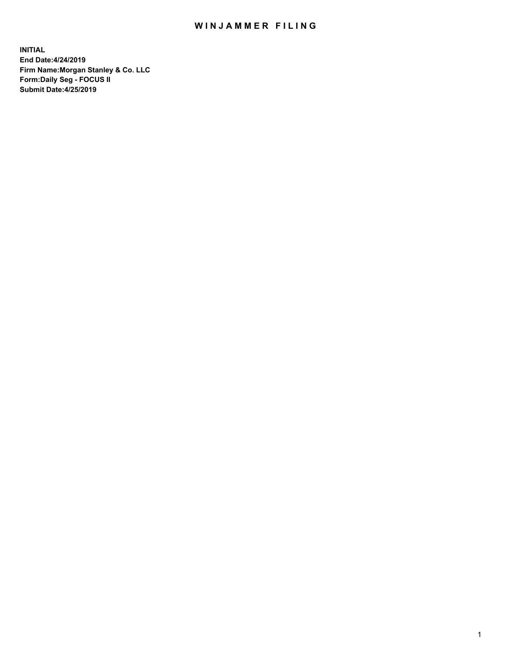## WIN JAMMER FILING

**INITIAL End Date:4/24/2019 Firm Name:Morgan Stanley & Co. LLC Form:Daily Seg - FOCUS II Submit Date:4/25/2019**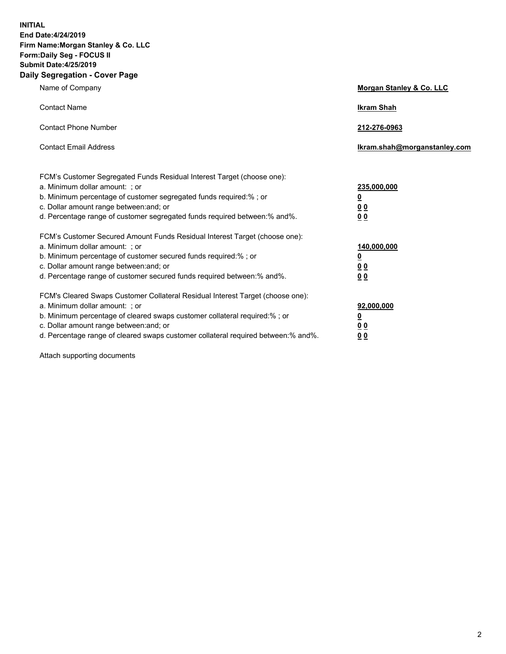**INITIAL End Date:4/24/2019 Firm Name:Morgan Stanley & Co. LLC Form:Daily Seg - FOCUS II Submit Date:4/25/2019 Daily Segregation - Cover Page**

| Name of Company                                                                                                                                                                                                                                                                                                               | Morgan Stanley & Co. LLC                                    |
|-------------------------------------------------------------------------------------------------------------------------------------------------------------------------------------------------------------------------------------------------------------------------------------------------------------------------------|-------------------------------------------------------------|
| <b>Contact Name</b>                                                                                                                                                                                                                                                                                                           | <b>Ikram Shah</b>                                           |
| <b>Contact Phone Number</b>                                                                                                                                                                                                                                                                                                   | 212-276-0963                                                |
| <b>Contact Email Address</b>                                                                                                                                                                                                                                                                                                  | Ikram.shah@morganstanley.com                                |
| FCM's Customer Segregated Funds Residual Interest Target (choose one):<br>a. Minimum dollar amount: ; or<br>b. Minimum percentage of customer segregated funds required:% ; or<br>c. Dollar amount range between: and; or<br>d. Percentage range of customer segregated funds required between:% and%.                        | 235,000,000<br><u>0</u><br><u>00</u><br>0 <sup>0</sup>      |
| FCM's Customer Secured Amount Funds Residual Interest Target (choose one):<br>a. Minimum dollar amount: ; or<br>b. Minimum percentage of customer secured funds required:%; or<br>c. Dollar amount range between: and; or<br>d. Percentage range of customer secured funds required between:% and%.                           | 140,000,000<br><u>0</u><br>0 <sub>0</sub><br>0 <sub>0</sub> |
| FCM's Cleared Swaps Customer Collateral Residual Interest Target (choose one):<br>a. Minimum dollar amount: ; or<br>b. Minimum percentage of cleared swaps customer collateral required:%; or<br>c. Dollar amount range between: and; or<br>d. Percentage range of cleared swaps customer collateral required between:% and%. | 92,000,000<br><u>0</u><br>0 Q<br>00                         |

Attach supporting documents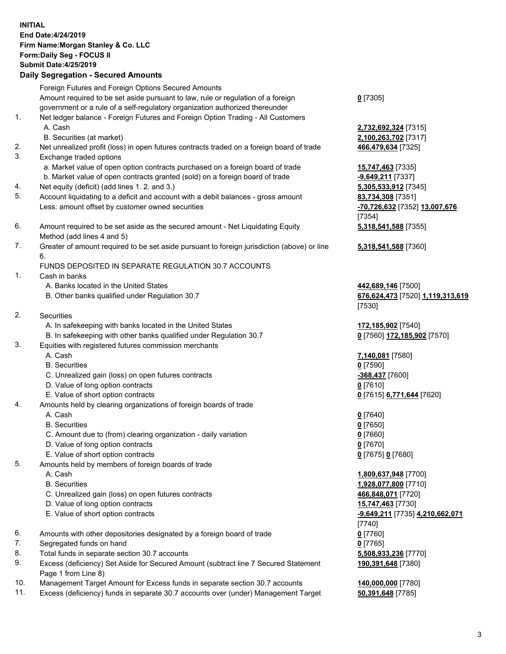## **INITIAL End Date:4/24/2019 Firm Name:Morgan Stanley & Co. LLC Form:Daily Seg - FOCUS II Submit Date:4/25/2019 Daily Segregation - Secured Amounts** Foreign Futures and Foreign Options Secured Amounts Amount required to be set aside pursuant to law, rule or regulation of a foreign government or a rule of a self-regulatory organization authorized thereunder 1. Net ledger balance - Foreign Futures and Foreign Option Trading - All Customers A. Cash **2,732,692,324** [7315] B. Securities (at market) **2,100,263,702** [7317] 2. Net unrealized profit (loss) in open futures contracts traded on a foreign board of trade **466,479,634** [7325] 3. Exchange traded options a. Market value of open option contracts purchased on a foreign board of trade **15,747,463** [7335] b. Market value of open contracts granted (sold) on a foreign board of trade **-9,649,211** [7337] 4. Net equity (deficit) (add lines 1. 2. and 3.) **5,305,533,912** [7345] 5. Account liquidating to a deficit and account with a debit balances - gross amount **83,734,308** [7351] Less: amount offset by customer owned securities **-70,726,632** [7352] **13,007,676** 6. Amount required to be set aside as the secured amount - Net Liquidating Equity Method (add lines 4 and 5) 7. Greater of amount required to be set aside pursuant to foreign jurisdiction (above) or line 6. FUNDS DEPOSITED IN SEPARATE REGULATION 30.7 ACCOUNTS 1. Cash in banks A. Banks located in the United States **442,689,146** [7500] B. Other banks qualified under Regulation 30.7 **676,624,473** [7520] **1,119,313,619** 2. Securities A. In safekeeping with banks located in the United States **172,185,902** [7540] B. In safekeeping with other banks qualified under Regulation 30.7 **0** [7560] **172,185,902** [7570] 3. Equities with registered futures commission merchants A. Cash **7,140,081** [7580] B. Securities **0** [7590] C. Unrealized gain (loss) on open futures contracts **-368,437** [7600] D. Value of long option contracts **0** [7610] E. Value of short option contracts **0** [7615] **6,771,644** [7620] 4. Amounts held by clearing organizations of foreign boards of trade A. Cash **0** [7640] B. Securities **0** [7650] C. Amount due to (from) clearing organization - daily variation **0** [7660] D. Value of long option contracts **0** [7670] E. Value of short option contracts **0** [7675] **0** [7680] 5. Amounts held by members of foreign boards of trade A. Cash **1,809,637,948** [7700] B. Securities **1,928,077,800** [7710] C. Unrealized gain (loss) on open futures contracts **466,848,071** [7720]

- D. Value of long option contracts **15,747,463** [7730]
- E. Value of short option contracts **-9,649,211** [7735] **4,210,662,071**
- 6. Amounts with other depositories designated by a foreign board of trade **0** [7760]
- 7. Segregated funds on hand **0** [7765]
- 8. Total funds in separate section 30.7 accounts **5,508,933,236** [7770]
- 9. Excess (deficiency) Set Aside for Secured Amount (subtract line 7 Secured Statement Page 1 from Line 8)
- 10. Management Target Amount for Excess funds in separate section 30.7 accounts **140,000,000** [7780]
- 11. Excess (deficiency) funds in separate 30.7 accounts over (under) Management Target **50,391,648** [7785]

**0** [7305]

[7354] **5,318,541,588** [7355]

**5,318,541,588** [7360]

[7530]

[7740] **190,391,648** [7380]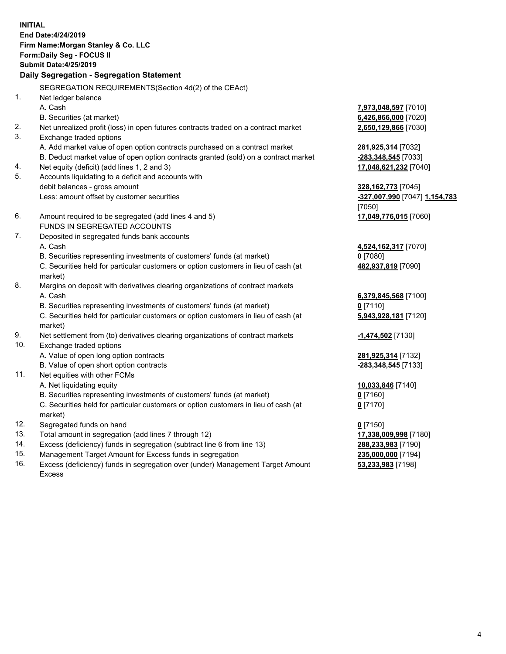**INITIAL End Date:4/24/2019 Firm Name:Morgan Stanley & Co. LLC Form:Daily Seg - FOCUS II Submit Date:4/25/2019 Daily Segregation - Segregation Statement** SEGREGATION REQUIREMENTS(Section 4d(2) of the CEAct) 1. Net ledger balance A. Cash **7,973,048,597** [7010] B. Securities (at market) **6,426,866,000** [7020] 2. Net unrealized profit (loss) in open futures contracts traded on a contract market **2,650,129,866** [7030] 3. Exchange traded options A. Add market value of open option contracts purchased on a contract market **281,925,314** [7032] B. Deduct market value of open option contracts granted (sold) on a contract market **-283,348,545** [7033] 4. Net equity (deficit) (add lines 1, 2 and 3) **17,048,621,232** [7040] 5. Accounts liquidating to a deficit and accounts with debit balances - gross amount **328,162,773** [7045] Less: amount offset by customer securities **-327,007,990** [7047] **1,154,783** [7050] 6. Amount required to be segregated (add lines 4 and 5) **17,049,776,015** [7060] FUNDS IN SEGREGATED ACCOUNTS 7. Deposited in segregated funds bank accounts A. Cash **4,524,162,317** [7070] B. Securities representing investments of customers' funds (at market) **0** [7080] C. Securities held for particular customers or option customers in lieu of cash (at market) **482,937,819** [7090] 8. Margins on deposit with derivatives clearing organizations of contract markets A. Cash **6,379,845,568** [7100] B. Securities representing investments of customers' funds (at market) **0** [7110] C. Securities held for particular customers or option customers in lieu of cash (at market) **5,943,928,181** [7120] 9. Net settlement from (to) derivatives clearing organizations of contract markets **-1,474,502** [7130] 10. Exchange traded options A. Value of open long option contracts **281,925,314** [7132] B. Value of open short option contracts **-283,348,545** [7133] 11. Net equities with other FCMs A. Net liquidating equity **10,033,846** [7140] B. Securities representing investments of customers' funds (at market) **0** [7160] C. Securities held for particular customers or option customers in lieu of cash (at market) **0** [7170] 12. Segregated funds on hand **0** [7150] 13. Total amount in segregation (add lines 7 through 12) **17,338,009,998** [7180] 14. Excess (deficiency) funds in segregation (subtract line 6 from line 13) **288,233,983** [7190]

- 15. Management Target Amount for Excess funds in segregation **235,000,000** [7194]
- 16. Excess (deficiency) funds in segregation over (under) Management Target Amount Excess

**53,233,983** [7198]